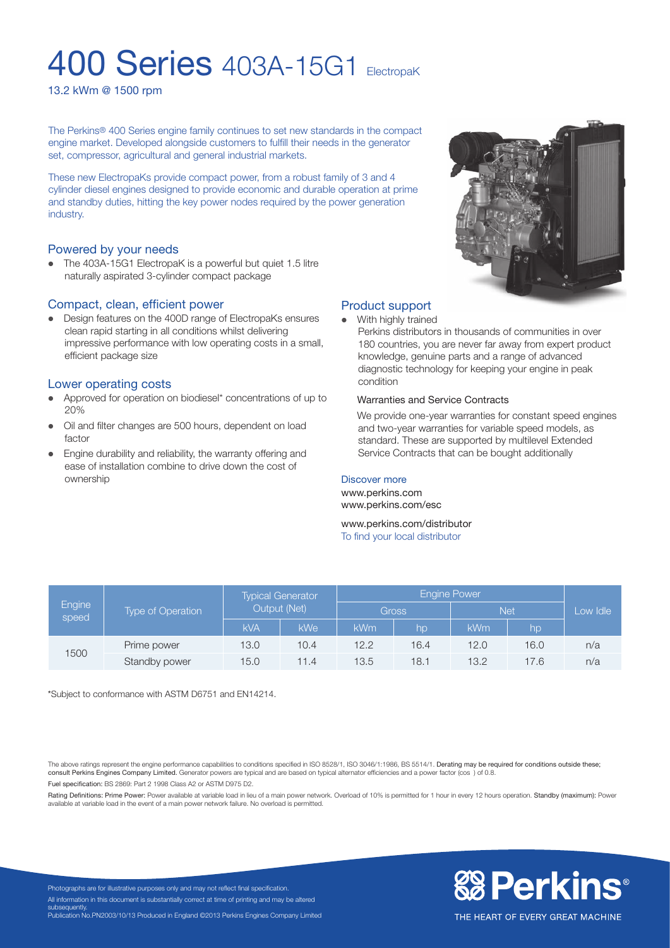## **400 Series** 403A-15G1 ElectropaK

13.2 kWm @ 1500 rpm

The Perkins® 400 Series engine family continues to set new standards in the compact engine market. Developed alongside customers to fulfill their needs in the generator set, compressor, agricultural and general industrial markets.

These new ElectropaKs provide compact power, from a robust family of 3 and 4 cylinder diesel engines designed to provide economic and durable operation at prime and standby duties, hitting the key power nodes required by the power generation industry.

#### Powered by your needs

• The 403A-15G1 ElectropaK is a powerful but quiet 1.5 litre naturally aspirated 3-cylinder compact package

#### Compact, clean, efficient power

• Design features on the 400D range of ElectropaKs ensures clean rapid starting in all conditions whilst delivering impressive performance with low operating costs in a small, efficient package size

#### Lower operating costs

- l Approved for operation on biodiesel\* concentrations of up to 20%
- Oil and filter changes are 500 hours, dependent on load factor
- Engine durability and reliability, the warranty offering and ease of installation combine to drive down the cost of ownership



#### Product support

With highly trained

Perkins distributors in thousands of communities in over 180 countries, you are never far away from expert product knowledge, genuine parts and a range of advanced diagnostic technology for keeping your engine in peak condition

#### Warranties and Service Contracts

We provide one-year warranties for constant speed engines and two-year warranties for variable speed models, as standard. These are supported by multilevel Extended Service Contracts that can be bought additionally

#### Discover more

www.perkins.com www.perkins.com/esc

www.perkins.com/distributor To find your local distributor

| Engine<br>speed | <b>Type of Operation</b> | <b>Typical Generator</b><br>Output (Net) |      | <b>Engine Power</b> |                  |            |      |          |
|-----------------|--------------------------|------------------------------------------|------|---------------------|------------------|------------|------|----------|
|                 |                          |                                          |      | Gross               |                  | <b>Net</b> |      | Low Idle |
|                 |                          | <b>kVA</b>                               | kWe  | kWm                 | lhp <sup>1</sup> | <b>kWm</b> | hp   |          |
| 1500            | Prime power              | 13.0                                     | 10.4 | 12.2                | 16.4             | 12.0       | 16.0 | n/a      |
|                 | Standby power            | 15.0                                     | 11.4 | 13.5                | 18.1             | 13.2       | 17.6 | n/a      |

\*Subject to conformance with ASTM D6751 and EN14214.

The above ratings represent the engine performance capabilities to conditions specified in ISO 8528/1, ISO 3046/1:1986, BS 5514/1. Derating may be required for conditions outside these; consult Perkins Engines Company Limited. Generator powers are typical and are based on typical alternator efficiencies and a power factor (cos) of 0.8

Fuel specification: BS 2869: Part 2 1998 Class A2 or ASTM D975 D2.

Rating Definitions: Prime Power: Power available at variable load in lieu of a main power network. Overload of 10% is permitted for 1 hour in every 12 hours operation. Standby (maximum): Power available at variable load in the event of a main power network failure. No overload is permitted.



Photographs are for illustrative purposes only and may not reflect final specification. All information in this document is substantially correct at time of printing and may be altered subsequently. Publication No.PN2003/10/13 Produced in England ©2013 Perkins Engines Company Limited

THE HEART OF EVERY GREAT MACHINE